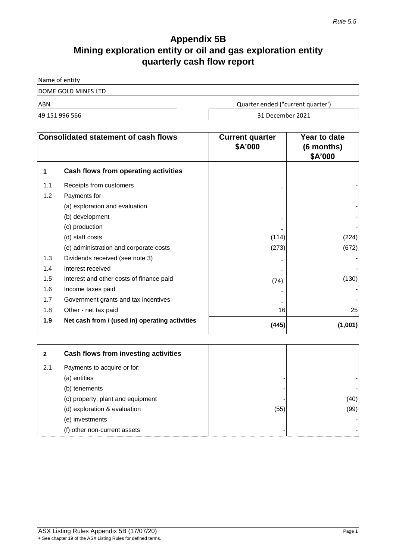# **Appendix 5B Mining exploration entity or oil and gas exploration entity quarterly cash flow report**

Name of entity

DOME GOLD MINES LTD

ABN Quarter ended ("current quarter')

49 151 996 566 31 December 2021

| <b>Consolidated statement of cash flows</b> |                                                | <b>Current quarter</b><br>\$A'000 | Year to date<br>(6 months)<br>\$A'000 |
|---------------------------------------------|------------------------------------------------|-----------------------------------|---------------------------------------|
| 1                                           | Cash flows from operating activities           |                                   |                                       |
| 1.1                                         | Receipts from customers                        |                                   |                                       |
| 1.2                                         | Payments for                                   |                                   |                                       |
|                                             | (a) exploration and evaluation                 |                                   |                                       |
|                                             | (b) development                                |                                   |                                       |
|                                             | (c) production                                 |                                   |                                       |
|                                             | (d) staff costs                                | (114)                             | (224)                                 |
|                                             | (e) administration and corporate costs         | (273)                             | (672)                                 |
| 1.3                                         | Dividends received (see note 3)                |                                   |                                       |
| 1.4                                         | Interest received                              |                                   |                                       |
| 1.5                                         | Interest and other costs of finance paid       | (74)                              | (130)                                 |
| 1.6                                         | Income taxes paid                              |                                   |                                       |
| 1.7                                         | Government grants and tax incentives           |                                   |                                       |
| 1.8                                         | Other - net tax paid                           | 16                                | 25                                    |
| 1.9                                         | Net cash from / (used in) operating activities | (445)                             | (1,001)                               |

| 2   | Cash flows from investing activities |      |      |
|-----|--------------------------------------|------|------|
| 2.1 | Payments to acquire or for:          |      |      |
|     | (a) entities                         |      |      |
|     | (b) tenements                        |      |      |
|     | (c) property, plant and equipment    |      | (40) |
|     | (d) exploration & evaluation         | (55) | (99) |
|     | (e) investments                      |      |      |
|     | (f) other non-current assets         | -    |      |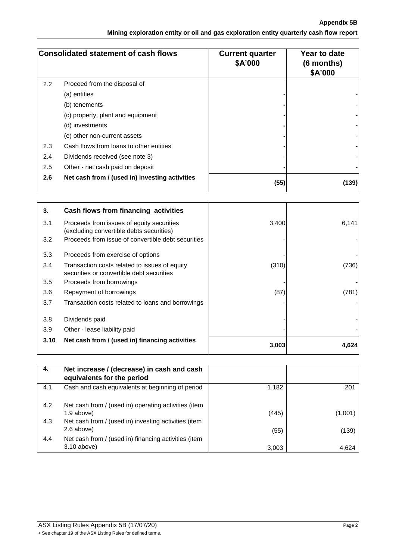**Appendix 5B Mining exploration entity or oil and gas exploration entity quarterly cash flow report**

| <b>Consolidated statement of cash flows</b> |                                                | <b>Current quarter</b><br>\$A'000 | Year to date<br>$(6$ months)<br>\$A'000 |
|---------------------------------------------|------------------------------------------------|-----------------------------------|-----------------------------------------|
| 2.2                                         | Proceed from the disposal of                   |                                   |                                         |
|                                             | (a) entities                                   |                                   |                                         |
|                                             | (b) tenements                                  |                                   |                                         |
|                                             | (c) property, plant and equipment              |                                   |                                         |
|                                             | (d) investments                                |                                   |                                         |
|                                             | (e) other non-current assets                   |                                   |                                         |
| 2.3                                         | Cash flows from loans to other entities        |                                   |                                         |
| 2.4                                         | Dividends received (see note 3)                |                                   |                                         |
| 2.5                                         | Other - net cash paid on deposit               |                                   |                                         |
| 2.6                                         | Net cash from / (used in) investing activities | (55)                              | (139)                                   |

| 3.   | Cash flows from financing activities                                                       |       |       |
|------|--------------------------------------------------------------------------------------------|-------|-------|
| 3.1  | Proceeds from issues of equity securities<br>(excluding convertible debts securities)      | 3,400 | 6,141 |
| 3.2  | Proceeds from issue of convertible debt securities                                         |       |       |
| 3.3  | Proceeds from exercise of options                                                          |       |       |
| 3.4  | Transaction costs related to issues of equity<br>securities or convertible debt securities | (310) | (736) |
| 3.5  | Proceeds from borrowings                                                                   |       |       |
| 3.6  | Repayment of borrowings                                                                    | (87)  | (781) |
| 3.7  | Transaction costs related to loans and borrowings                                          |       |       |
| 3.8  | Dividends paid                                                                             |       |       |
| 3.9  | Other - lease liability paid                                                               |       |       |
| 3.10 | Net cash from / (used in) financing activities                                             | 3,003 | 4,624 |

| 4.  | Net increase / (decrease) in cash and cash<br>equivalents for the period |       |         |
|-----|--------------------------------------------------------------------------|-------|---------|
| 4.1 | Cash and cash equivalents at beginning of period                         | 1,182 | 201     |
| 4.2 | Net cash from / (used in) operating activities (item                     |       |         |
|     | $1.9$ above)                                                             | (445) | (1,001) |
| 4.3 | Net cash from / (used in) investing activities (item                     |       |         |
|     | 2.6 above)                                                               | (55)  | (139)   |
| 4.4 | Net cash from / (used in) financing activities (item                     |       |         |
|     | $3.10$ above)                                                            | 3,003 | 4,624   |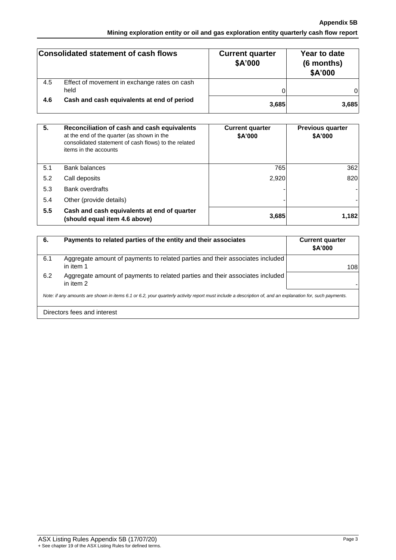## **Appendix 5B Mining exploration entity or oil and gas exploration entity quarterly cash flow report**

|     | <b>Consolidated statement of cash flows</b>  | <b>Current quarter</b><br>\$A'000 | Year to date<br>(6 months)<br>\$A'000 |
|-----|----------------------------------------------|-----------------------------------|---------------------------------------|
| 4.5 | Effect of movement in exchange rates on cash |                                   |                                       |
|     | held                                         |                                   |                                       |
| 4.6 | Cash and cash equivalents at end of period   | 3,685                             | 3,685                                 |

| 5.  | Reconciliation of cash and cash equivalents<br>at the end of the quarter (as shown in the<br>consolidated statement of cash flows) to the related<br>items in the accounts | <b>Current quarter</b><br>\$A'000 | <b>Previous quarter</b><br>\$A'000 |
|-----|----------------------------------------------------------------------------------------------------------------------------------------------------------------------------|-----------------------------------|------------------------------------|
| 5.1 | <b>Bank balances</b>                                                                                                                                                       | 765                               | 362                                |
| 5.2 | Call deposits                                                                                                                                                              | 2,920                             | 820                                |
| 5.3 | <b>Bank overdrafts</b>                                                                                                                                                     |                                   |                                    |
| 5.4 | Other (provide details)                                                                                                                                                    |                                   |                                    |
| 5.5 | Cash and cash equivalents at end of quarter<br>(should equal item 4.6 above)                                                                                               | 3,685                             | 1,182                              |

| 6.                                                                                                                                                       | Payments to related parties of the entity and their associates                             | <b>Current quarter</b><br>\$A'000 |
|----------------------------------------------------------------------------------------------------------------------------------------------------------|--------------------------------------------------------------------------------------------|-----------------------------------|
| 6.1                                                                                                                                                      | Aggregate amount of payments to related parties and their associates included<br>in item 1 | 108                               |
| 6.2                                                                                                                                                      | Aggregate amount of payments to related parties and their associates included<br>in item 2 |                                   |
| Note: if any amounts are shown in items 6.1 or 6.2, your quarterly activity report must include a description of, and an explanation for, such payments. |                                                                                            |                                   |
|                                                                                                                                                          | Directors fees and interest                                                                |                                   |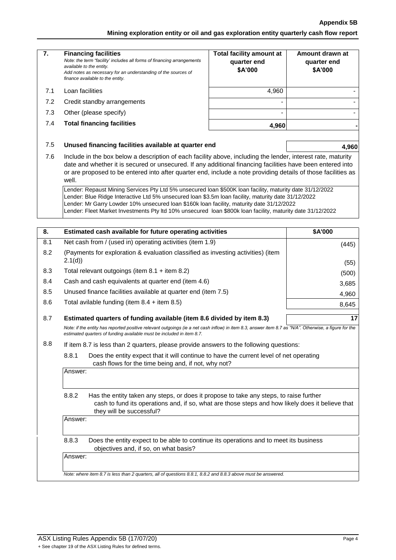### **Appendix 5B**

**Mining exploration entity or oil and gas exploration entity quarterly cash flow report**

| 7.         | <b>Financing facilities</b><br>Note: the term "facility' includes all forms of financing arrangements<br>available to the entity.<br>Add notes as necessary for an understanding of the sources of<br>finance available to the entity.                                                                                                                                                                                     | <b>Total facility amount at</b><br>quarter end<br>\$A'000 | Amount drawn at<br>quarter end<br>\$A'000 |  |
|------------|----------------------------------------------------------------------------------------------------------------------------------------------------------------------------------------------------------------------------------------------------------------------------------------------------------------------------------------------------------------------------------------------------------------------------|-----------------------------------------------------------|-------------------------------------------|--|
| 7.1        | Loan facilities                                                                                                                                                                                                                                                                                                                                                                                                            | 4,960                                                     |                                           |  |
| 7.2        | Credit standby arrangements                                                                                                                                                                                                                                                                                                                                                                                                |                                                           |                                           |  |
| 7.3        | Other (please specify)                                                                                                                                                                                                                                                                                                                                                                                                     | $\overline{\phantom{a}}$                                  |                                           |  |
| 7.4        | <b>Total financing facilities</b>                                                                                                                                                                                                                                                                                                                                                                                          | 4,960                                                     |                                           |  |
| 7.5        | Unused financing facilities available at quarter end                                                                                                                                                                                                                                                                                                                                                                       |                                                           | 4,960                                     |  |
| 7.6        | Include in the box below a description of each facility above, including the lender, interest rate, maturity<br>date and whether it is secured or unsecured. If any additional financing facilities have been entered into<br>or are proposed to be entered into after quarter end, include a note providing details of those facilities as<br>well.                                                                       |                                                           |                                           |  |
|            | Lender: Repaust Mining Services Pty Ltd 5% unsecured loan \$500K loan facility, maturity date 31/12/2022<br>Lender: Blue Ridge Interactive Ltd 5% unsecured loan \$3.5m loan facility, maturity date 31/12/2022<br>Lender: Mr Garry Lowder 10% unsecured loan \$160k loan facility, maturity date 31/12/2022<br>Lender: Fleet Market Investments Pty Itd 10% unsecured Ioan \$800k Ioan facility, maturity date 31/12/2022 |                                                           |                                           |  |
| 8.         | Estimated cash available for future operating activities                                                                                                                                                                                                                                                                                                                                                                   |                                                           | \$A'000                                   |  |
| 8.1        | Net cash from / (used in) operating activities (item 1.9)                                                                                                                                                                                                                                                                                                                                                                  |                                                           | (445)                                     |  |
| 8.2        | (Payments for exploration & evaluation classified as investing activities) (item                                                                                                                                                                                                                                                                                                                                           |                                                           |                                           |  |
|            | 2.1(d)                                                                                                                                                                                                                                                                                                                                                                                                                     |                                                           | (55)                                      |  |
| 8.3<br>8.4 | Total relevant outgoings (item $8.1 +$ item $8.2$ )                                                                                                                                                                                                                                                                                                                                                                        |                                                           | (500)                                     |  |
| 8.5        | Cash and cash equivalents at quarter end (item 4.6)                                                                                                                                                                                                                                                                                                                                                                        |                                                           | 3,685                                     |  |
| 8.6        | Unused finance facilities available at quarter end (item 7.5)                                                                                                                                                                                                                                                                                                                                                              |                                                           | 4,960                                     |  |
|            | Total avilable funding (item $8.4 +$ item $8.5$ )                                                                                                                                                                                                                                                                                                                                                                          |                                                           | 8,645                                     |  |
| 8.7        | 17<br>Estimated quarters of funding available (item 8.6 divided by item 8.3)                                                                                                                                                                                                                                                                                                                                               |                                                           |                                           |  |
|            | Note: if the entity has reported positive relevant outgoings (ie a net cash inflow) in item 8.3, answer item 8.7 as "N/A". Otherwise, a figure for the<br>estimated quarters of funding available must be included in item 8.7.                                                                                                                                                                                            |                                                           |                                           |  |
| 8.8        | If item 8.7 is less than 2 quarters, please provide answers to the following questions:                                                                                                                                                                                                                                                                                                                                    |                                                           |                                           |  |
|            | 8.8.1<br>Does the entity expect that it will continue to have the current level of net operating<br>cash flows for the time being and, if not, why not?                                                                                                                                                                                                                                                                    |                                                           |                                           |  |
|            | Answer:                                                                                                                                                                                                                                                                                                                                                                                                                    |                                                           |                                           |  |
|            | 8.8.2<br>Has the entity taken any steps, or does it propose to take any steps, to raise further<br>cash to fund its operations and, if so, what are those steps and how likely does it believe that<br>they will be successful?                                                                                                                                                                                            |                                                           |                                           |  |
|            | Answer:                                                                                                                                                                                                                                                                                                                                                                                                                    |                                                           |                                           |  |
|            | 8.8.3<br>Does the entity expect to be able to continue its operations and to meet its business<br>objectives and, if so, on what basis?                                                                                                                                                                                                                                                                                    |                                                           |                                           |  |
|            | Answer:                                                                                                                                                                                                                                                                                                                                                                                                                    |                                                           |                                           |  |
|            |                                                                                                                                                                                                                                                                                                                                                                                                                            |                                                           |                                           |  |